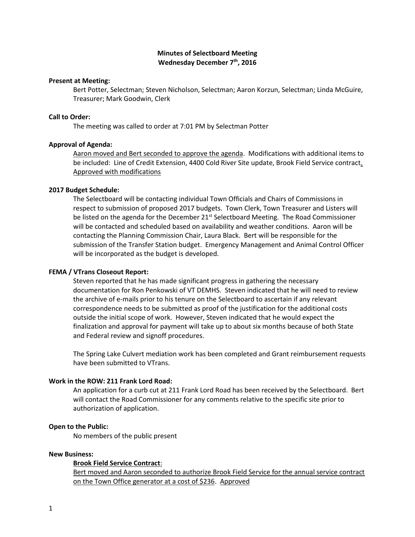# **Minutes of Selectboard Meeting Wednesday December 7th, 2016**

### **Present at Meeting:**

Bert Potter, Selectman; Steven Nicholson, Selectman; Aaron Korzun, Selectman; Linda McGuire, Treasurer; Mark Goodwin, Clerk

### **Call to Order:**

The meeting was called to order at 7:01 PM by Selectman Potter

### **Approval of Agenda:**

Aaron moved and Bert seconded to approve the agenda. Modifications with additional items to be included: Line of Credit Extension, 4400 Cold River Site update, Brook Field Service contract. Approved with modifications

### **2017 Budget Schedule:**

The Selectboard will be contacting individual Town Officials and Chairs of Commissions in respect to submission of proposed 2017 budgets. Town Clerk, Town Treasurer and Listers will be listed on the agenda for the December  $21^{st}$  Selectboard Meeting. The Road Commissioner will be contacted and scheduled based on availability and weather conditions. Aaron will be contacting the Planning Commission Chair, Laura Black. Bert will be responsible for the submission of the Transfer Station budget. Emergency Management and Animal Control Officer will be incorporated as the budget is developed.

#### **FEMA / VTrans Closeout Report:**

Steven reported that he has made significant progress in gathering the necessary documentation for Ron Penkowski of VT DEMHS. Steven indicated that he will need to review the archive of e-mails prior to his tenure on the Selectboard to ascertain if any relevant correspondence needs to be submitted as proof of the justification for the additional costs outside the initial scope of work. However, Steven indicated that he would expect the finalization and approval for payment will take up to about six months because of both State and Federal review and signoff procedures.

The Spring Lake Culvert mediation work has been completed and Grant reimbursement requests have been submitted to VTrans.

#### **Work in the ROW: 211 Frank Lord Road:**

An application for a curb cut at 211 Frank Lord Road has been received by the Selectboard. Bert will contact the Road Commissioner for any comments relative to the specific site prior to authorization of application.

### **Open to the Public:**

No members of the public present

#### **New Business:**

### **Brook Field Service Contract**:

Bert moved and Aaron seconded to authorize Brook Field Service for the annual service contract on the Town Office generator at a cost of \$236. Approved